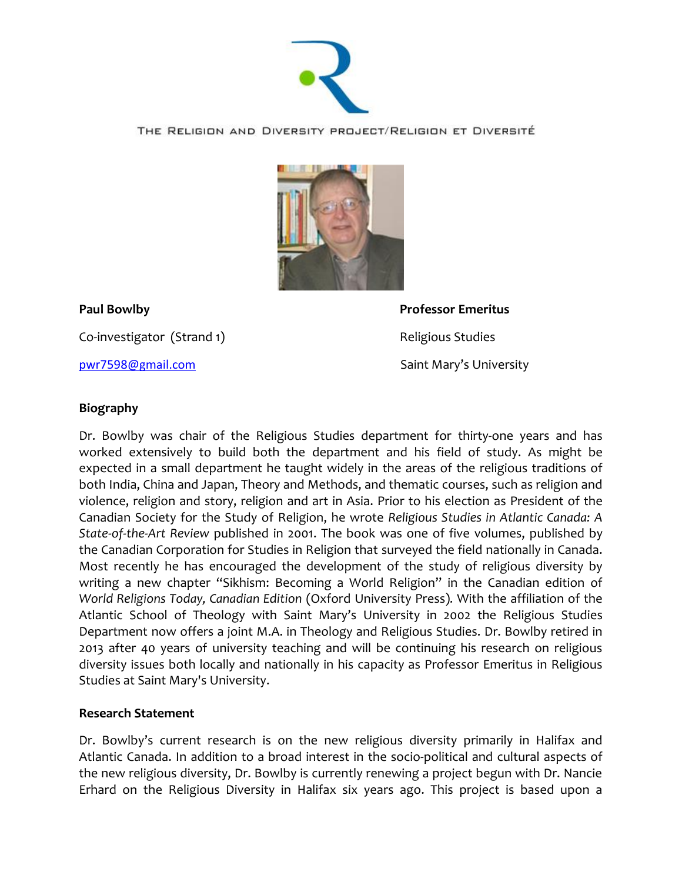

THE RELIGION AND DIVERSITY PROJECT/RELIGION ET DIVERSITÉ



Co-investigator (Strand 1) Religious Studies

**Paul Bowlby Professor Emeritus** [pwr7598@gmail.com](mailto:pwr7598@gmail.com) Saint Mary's University

## **Biography**

Dr. Bowlby was chair of the Religious Studies department for thirty-one years and has worked extensively to build both the department and his field of study. As might be expected in a small department he taught widely in the areas of the religious traditions of both India, China and Japan, Theory and Methods, and thematic courses, such as religion and violence, religion and story, religion and art in Asia. Prior to his election as President of the Canadian Society for the Study of Religion, he wrote *Religious Studies in Atlantic Canada: A State-of-the-Art Review* published in 2001. The book was one of five volumes, published by the Canadian Corporation for Studies in Religion that surveyed the field nationally in Canada. Most recently he has encouraged the development of the study of religious diversity by writing a new chapter "Sikhism: Becoming a World Religion" in the Canadian edition of *World Religions Today, Canadian Edition* (Oxford University Press)*.* With the affiliation of the Atlantic School of Theology with Saint Mary's University in 2002 the Religious Studies Department now offers a joint M.A. in Theology and Religious Studies. Dr. Bowlby retired in 2013 after 40 years of university teaching and will be continuing his research on religious diversity issues both locally and nationally in his capacity as Professor Emeritus in Religious Studies at Saint Mary's University.

## **Research Statement**

Dr. Bowlby's current research is on the new religious diversity primarily in Halifax and Atlantic Canada. In addition to a broad interest in the socio-political and cultural aspects of the new religious diversity, Dr. Bowlby is currently renewing a project begun with Dr. Nancie Erhard on the Religious Diversity in Halifax six years ago. This project is based upon a